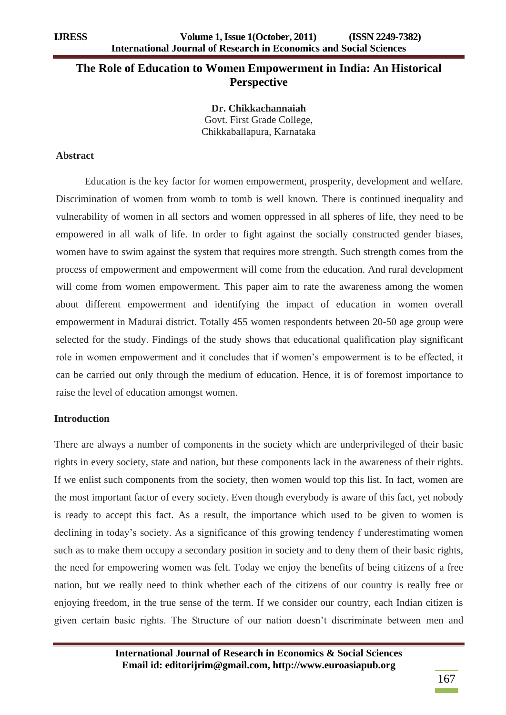# **The Role of Education to Women Empowerment in India: An Historical Perspective**

**Dr. Chikkachannaiah** Govt. First Grade College, Chikkaballapura, Karnataka

#### **Abstract**

Education is the key factor for women empowerment, prosperity, development and welfare. Discrimination of women from womb to tomb is well known. There is continued inequality and vulnerability of women in all sectors and women oppressed in all spheres of life, they need to be empowered in all walk of life. In order to fight against the socially constructed gender biases, women have to swim against the system that requires more strength. Such strength comes from the process of empowerment and empowerment will come from the education. And rural development will come from women empowerment. This paper aim to rate the awareness among the women about different empowerment and identifying the impact of education in women overall empowerment in Madurai district. Totally 455 women respondents between 20-50 age group were selected for the study. Findings of the study shows that educational qualification play significant role in women empowerment and it concludes that if women"s empowerment is to be effected, it can be carried out only through the medium of education. Hence, it is of foremost importance to raise the level of education amongst women.

# **Introduction**

There are always a number of components in the society which are underprivileged of their basic rights in every society, state and nation, but these components lack in the awareness of their rights. If we enlist such components from the society, then women would top this list. In fact, women are the most important factor of every society. Even though everybody is aware of this fact, yet nobody is ready to accept this fact. As a result, the importance which used to be given to women is declining in today's society. As a significance of this growing tendency f underestimating women such as to make them occupy a secondary position in society and to deny them of their basic rights, the need for empowering women was felt. Today we enjoy the benefits of being citizens of a free nation, but we really need to think whether each of the citizens of our country is really free or enjoying freedom, in the true sense of the term. If we consider our country, each Indian citizen is given certain basic rights. The Structure of our nation doesn"t discriminate between men and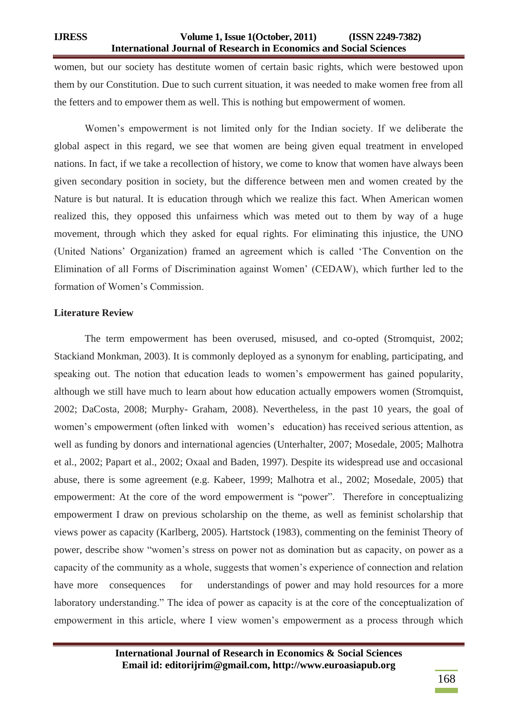women, but our society has destitute women of certain basic rights, which were bestowed upon them by our Constitution. Due to such current situation, it was needed to make women free from all the fetters and to empower them as well. This is nothing but empowerment of women.

Women"s empowerment is not limited only for the Indian society. If we deliberate the global aspect in this regard, we see that women are being given equal treatment in enveloped nations. In fact, if we take a recollection of history, we come to know that women have always been given secondary position in society, but the difference between men and women created by the Nature is but natural. It is education through which we realize this fact. When American women realized this, they opposed this unfairness which was meted out to them by way of a huge movement, through which they asked for equal rights. For eliminating this injustice, the UNO (United Nations" Organization) framed an agreement which is called "The Convention on the Elimination of all Forms of Discrimination against Women" (CEDAW), which further led to the formation of Women"s Commission.

### **Literature Review**

The term empowerment has been overused, misused, and co-opted (Stromquist, 2002; Stackiand Monkman, 2003). It is commonly deployed as a synonym for enabling, participating, and speaking out. The notion that education leads to women"s empowerment has gained popularity, although we still have much to learn about how education actually empowers women (Stromquist, 2002; DaCosta, 2008; Murphy- Graham, 2008). Nevertheless, in the past 10 years, the goal of women's empowerment (often linked with women's education) has received serious attention, as well as funding by donors and international agencies (Unterhalter, 2007; Mosedale, 2005; Malhotra et al., 2002; Papart et al., 2002; Oxaal and Baden, 1997). Despite its widespread use and occasional abuse, there is some agreement (e.g. Kabeer, 1999; Malhotra et al., 2002; Mosedale, 2005) that empowerment: At the core of the word empowerment is "power". Therefore in conceptualizing empowerment I draw on previous scholarship on the theme, as well as feminist scholarship that views power as capacity (Karlberg, 2005). Hartstock (1983), commenting on the feminist Theory of power, describe show "women"s stress on power not as domination but as capacity, on power as a capacity of the community as a whole, suggests that women"s experience of connection and relation have more consequences for understandings of power and may hold resources for a more laboratory understanding." The idea of power as capacity is at the core of the conceptualization of empowerment in this article, where I view women"s empowerment as a process through which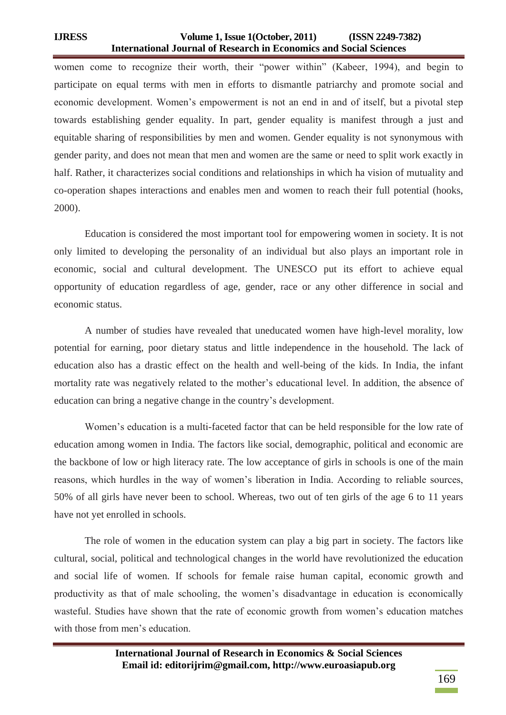women come to recognize their worth, their "power within" (Kabeer, 1994), and begin to participate on equal terms with men in efforts to dismantle patriarchy and promote social and economic development. Women"s empowerment is not an end in and of itself, but a pivotal step towards establishing gender equality. In part, gender equality is manifest through a just and equitable sharing of responsibilities by men and women. Gender equality is not synonymous with gender parity, and does not mean that men and women are the same or need to split work exactly in half. Rather, it characterizes social conditions and relationships in which ha vision of mutuality and co-operation shapes interactions and enables men and women to reach their full potential (hooks, 2000).

Education is considered the most important tool for empowering women in society. It is not only limited to developing the personality of an individual but also plays an important role in economic, social and cultural development. The UNESCO put its effort to achieve equal opportunity of education regardless of age, gender, race or any other difference in social and economic status.

A number of studies have revealed that uneducated women have high-level morality, low potential for earning, poor dietary status and little independence in the household. The lack of education also has a drastic effect on the health and well-being of the kids. In India, the infant mortality rate was negatively related to the mother"s educational level. In addition, the absence of education can bring a negative change in the country"s development.

Women"s education is a multi-faceted factor that can be held responsible for the low rate of education among women in India. The factors like social, demographic, political and economic are the backbone of low or high literacy rate. The low acceptance of girls in schools is one of the main reasons, which hurdles in the way of women"s liberation in India. According to reliable sources, 50% of all girls have never been to school. Whereas, two out of ten girls of the age 6 to 11 years have not yet enrolled in schools.

The role of women in the education system can play a big part in society. The factors like cultural, social, political and technological changes in the world have revolutionized the education and social life of women. If schools for female raise human capital, economic growth and productivity as that of male schooling, the women"s disadvantage in education is economically wasteful. Studies have shown that the rate of economic growth from women"s education matches with those from men's education.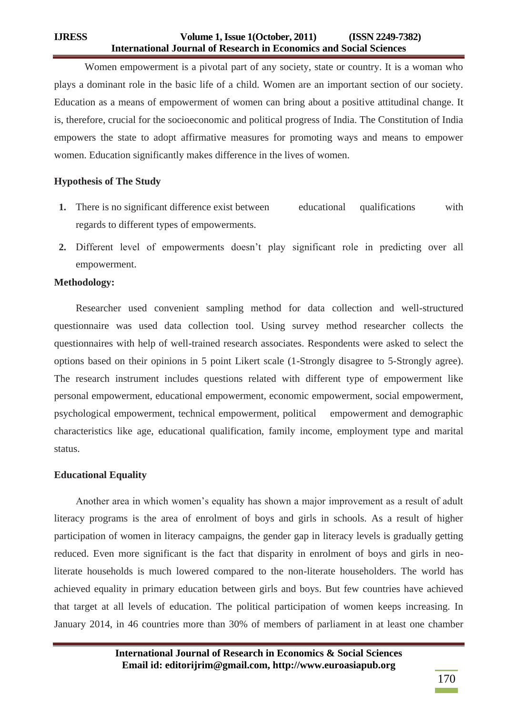Women empowerment is a pivotal part of any society, state or country. It is a woman who plays a dominant role in the basic life of a child. Women are an important section of our society. Education as a means of empowerment of women can bring about a positive attitudinal change. It is, therefore, crucial for the socioeconomic and political progress of India. The Constitution of India empowers the state to adopt affirmative measures for promoting ways and means to empower women. Education significantly makes difference in the lives of women.

# **Hypothesis of The Study**

- **1.** There is no significant difference exist between educational qualifications with regards to different types of empowerments.
- 2. Different level of empowerments doesn't play significant role in predicting over all empowerment.

# **Methodology:**

Researcher used convenient sampling method for data collection and well-structured questionnaire was used data collection tool. Using survey method researcher collects the questionnaires with help of well-trained research associates. Respondents were asked to select the options based on their opinions in 5 point Likert scale (1-Strongly disagree to 5-Strongly agree). The research instrument includes questions related with different type of empowerment like personal empowerment, educational empowerment, economic empowerment, social empowerment, psychological empowerment, technical empowerment, political empowerment and demographic characteristics like age, educational qualification, family income, employment type and marital status.

# **Educational Equality**

Another area in which women"s equality has shown a major improvement as a result of adult literacy programs is the area of enrolment of boys and girls in schools. As a result of higher participation of women in literacy campaigns, the gender gap in literacy levels is gradually getting reduced. Even more significant is the fact that disparity in enrolment of boys and girls in neoliterate households is much lowered compared to the non-literate householders. The world has achieved equality in primary education between girls and boys. But few countries have achieved that target at all levels of education. The political participation of women keeps increasing. In January 2014, in 46 countries more than 30% of members of parliament in at least one chamber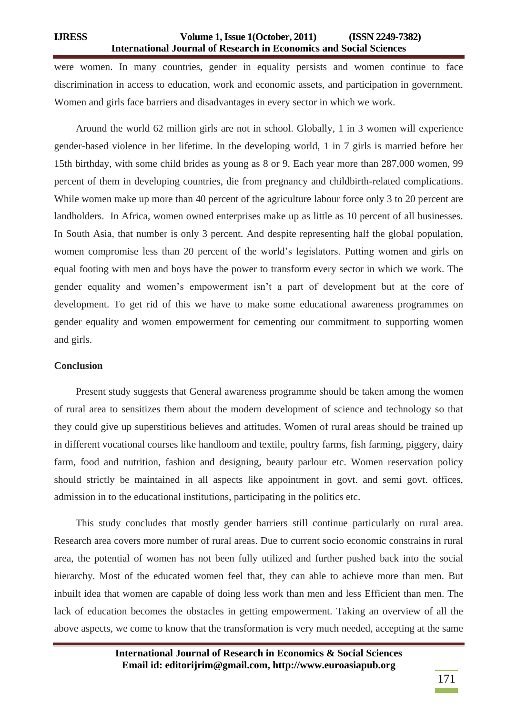were women. In many countries, gender in equality persists and women continue to face discrimination in access to education, work and economic assets, and participation in government. Women and girls face barriers and disadvantages in every sector in which we work.

Around the world 62 million girls are not in school. Globally, 1 in 3 women will experience gender-based violence in her lifetime. In the developing world, 1 in 7 girls is married before her 15th birthday, with some child brides as young as 8 or 9. Each year more than 287,000 women, 99 percent of them in developing countries, die from pregnancy and childbirth-related complications. While women make up more than 40 percent of the agriculture labour force only 3 to 20 percent are landholders. In Africa, women owned enterprises make up as little as 10 percent of all businesses. In South Asia, that number is only 3 percent. And despite representing half the global population, women compromise less than 20 percent of the world"s legislators. Putting women and girls on equal footing with men and boys have the power to transform every sector in which we work. The gender equality and women"s empowerment isn"t a part of development but at the core of development. To get rid of this we have to make some educational awareness programmes on gender equality and women empowerment for cementing our commitment to supporting women and girls.

### **Conclusion**

Present study suggests that General awareness programme should be taken among the women of rural area to sensitizes them about the modern development of science and technology so that they could give up superstitious believes and attitudes. Women of rural areas should be trained up in different vocational courses like handloom and textile, poultry farms, fish farming, piggery, dairy farm, food and nutrition, fashion and designing, beauty parlour etc. Women reservation policy should strictly be maintained in all aspects like appointment in govt. and semi govt. offices, admission in to the educational institutions, participating in the politics etc.

This study concludes that mostly gender barriers still continue particularly on rural area. Research area covers more number of rural areas. Due to current socio economic constrains in rural area, the potential of women has not been fully utilized and further pushed back into the social hierarchy. Most of the educated women feel that, they can able to achieve more than men. But inbuilt idea that women are capable of doing less work than men and less Efficient than men. The lack of education becomes the obstacles in getting empowerment. Taking an overview of all the above aspects, we come to know that the transformation is very much needed, accepting at the same